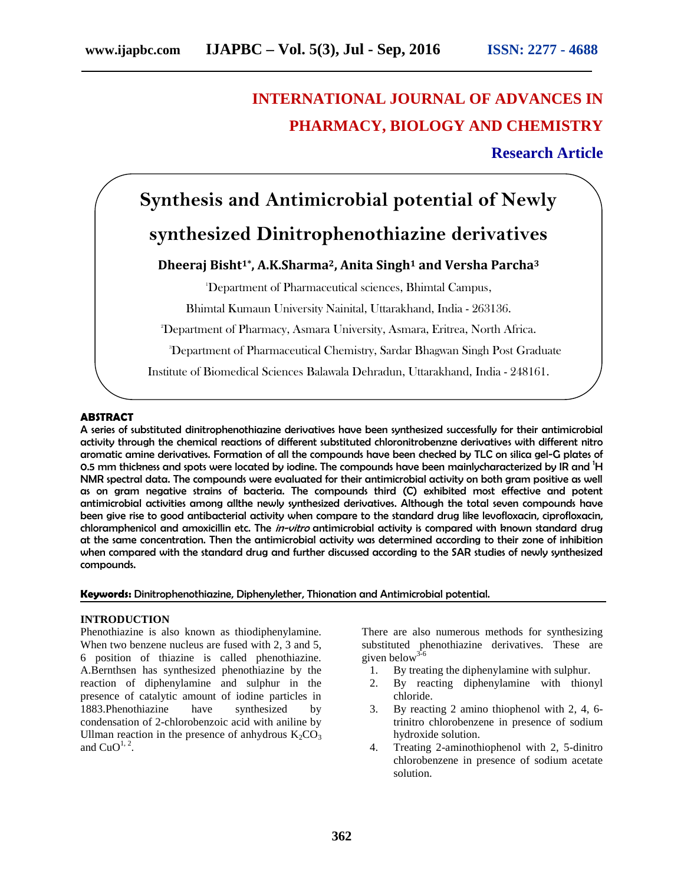# **INTERNATIONAL JOURNAL OF ADVANCES IN PHARMACY, BIOLOGY AND CHEMISTRY**

# **Research Article**

# **Synthesis and Antimicrobial potential of Newly synthesized Dinitrophenothiazine derivatives**

# **Dheeraj Bisht1\* , A.K.Sharma2, Anita Singh<sup>1</sup> and Versha Parcha<sup>3</sup>**

<sup>1</sup>Department of Pharmaceutical sciences, Bhimtal Campus,

Bhimtal Kumaun University Nainital, Uttarakhand, India - 263136.

<sup>2</sup>Department of Pharmacy, Asmara University, Asmara, Eritrea, North Africa.

<sup>3</sup>Department of Pharmaceutical Chemistry, Sardar Bhagwan Singh Post Graduate

Institute of Biomedical Sciences Balawala Dehradun, Uttarakhand, India - 248161.

## **ABSTRACT**

A series of substituted dinitrophenothiazine derivatives have been synthesized successfully for their antimicrobial activity through the chemical reactions of different substituted chloronitrobenzne derivatives with different nitro aromatic amine derivatives. Formation of all the compounds have been checked by TLC on silica gel-G plates of 0.5 mm thickness and spots were located by iodine. The compounds have been mainlycharacterized by IR and <sup>1</sup>H NMR spectral data. The compounds were evaluated for their antimicrobial activity on both gram positive as well as on gram negative strains of bacteria. The compounds third (C) exhibited most effective and potent antimicrobial activities among allthe newly synthesized derivatives. Although the total seven compounds have been give rise to good antibacterial activity when compare to the standard drug like levofloxacin, ciprofloxacin, chloramphenicol and amoxicillin etc. The *in-vitro* antimicrobial activity is compared with known standard drug at the same concentration. Then the antimicrobial activity was determined according to their zone of inhibition when compared with the standard drug and further discussed according to the SAR studies of newly synthesized compounds.

**Keywords:** Dinitrophenothiazine, Diphenylether, Thionation and Antimicrobial potential.

#### **INTRODUCTION**

Phenothiazine is also known as thiodiphenylamine. When two benzene nucleus are fused with 2, 3 and 5, 6 position of thiazine is called phenothiazine. A.Bernthsen has synthesized phenothiazine by the reaction of diphenylamine and sulphur in the presence of catalytic amount of iodine particles in 1883.Phenothiazine have synthesized by condensation of 2-chlorobenzoic acid with aniline by Ullman reaction in the presence of anhydrous  $K_2CO_3$ and  $CuO<sup>1, 2</sup>$ .

There are also numerous methods for synthesizing substituted phenothiazine derivatives. These are given below<sup>3</sup>

- 1. By treating the diphenylamine with sulphur.
- 2. By reacting diphenylamine with thionyl chloride.
- 3. By reacting 2 amino thiophenol with 2, 4, 6 trinitro chlorobenzene in presence of sodium hydroxide solution.
- 4. Treating 2-aminothiophenol with 2, 5-dinitro chlorobenzene in presence of sodium acetate solution.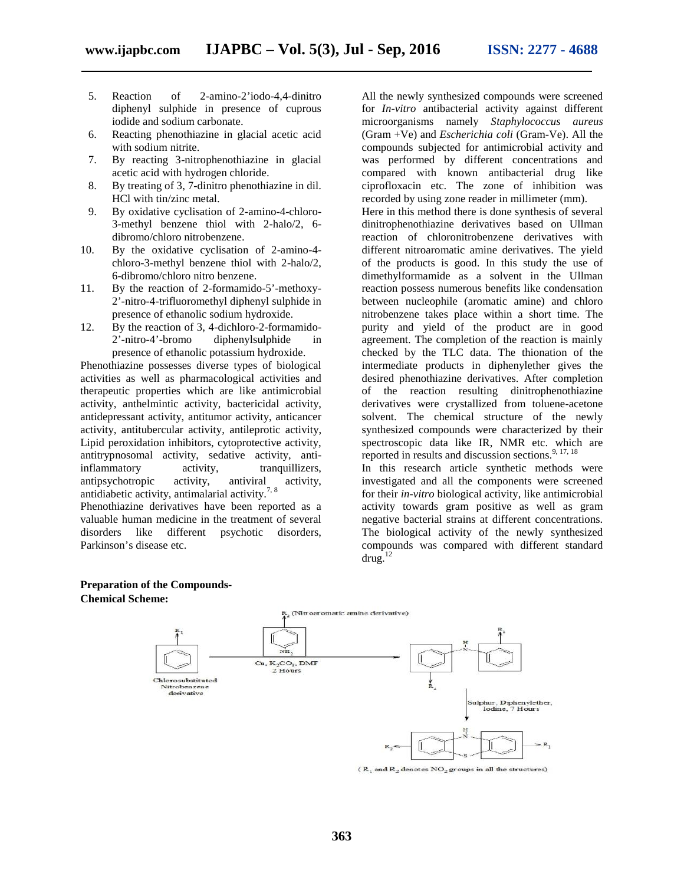- 5. Reaction of 2-amino-2'iodo-4,4-dinitro diphenyl sulphide in presence of cuprous iodide and sodium carbonate.
- 6. Reacting phenothiazine in glacial acetic acid with sodium nitrite.
- 7. By reacting 3-nitrophenothiazine in glacial acetic acid with hydrogen chloride.
- 8. By treating of 3, 7-dinitro phenothiazine in dil. HCl with tin/zinc metal.
- 9. By oxidative cyclisation of 2-amino-4-chloro- 3-methyl benzene thiol with 2-halo/2, 6 dibromo/chloro nitrobenzene.
- 10. By the oxidative cyclisation of 2-amino-4 chloro-3-methyl benzene thiol with 2-halo/2, 6-dibromo/chloro nitro benzene.
- 11. By the reaction of 2-formamido-5'-methoxy- 2'-nitro-4-trifluoromethyl diphenyl sulphide in presence of ethanolic sodium hydroxide.
- 12. By the reaction of 3, 4-dichloro-2-formamido- 2'-nitro-4'-bromo diphenylsulphide in presence of ethanolic potassium hydroxide.

Phenothiazine possesses diverse types of biological activities as well as pharmacological activities and therapeutic properties which are like antimicrobial activity, anthelmintic activity, bactericidal activity, antidepressant activity, antitumor activity, anticancer activity, antitubercular activity, antileprotic activity, Lipid peroxidation inhibitors, cytoprotective activity, antitrypnosomal activity, sedative activity, antiinflammatory activity, tranquillizers, antipsychotropic activity, antiviral activity, antidiabetic activity, antimalarial activity.<sup>7, 8</sup>

Phenothiazine derivatives have been reported as a valuable human medicine in the treatment of several disorders like different psychotic disorders, Parkinson's disease etc.

All the newly synthesized compounds were screened for *In-vitro* antibacterial activity against different microorganisms namely *Staphylococcus aureus* (Gram +Ve) and *Escherichia coli* (Gram-Ve). All the compounds subjected for antimicrobial activity and was performed by different concentrations and compared with known antibacterial drug like ciprofloxacin etc. The zone of inhibition was recorded by using zone reader in millimeter (mm).

Here in this method there is done synthesis of several dinitrophenothiazine derivatives based on Ullman reaction of chloronitrobenzene derivatives with different nitroaromatic amine derivatives. The yield of the products is good. In this study the use of dimethylformamide as a solvent in the Ullman reaction possess numerous benefits like condensation between nucleophile (aromatic amine) and chloro nitrobenzene takes place within a short time. The purity and yield of the product are in good agreement. The completion of the reaction is mainly checked by the TLC data. The thionation of the intermediate products in diphenylether gives the desired phenothiazine derivatives. After completion of the reaction resulting dinitrophenothiazine derivatives were crystallized from toluene-acetone solvent. The chemical structure of the newly synthesized compounds were characterized by their spectroscopic data like IR, NMR etc. which are reported in results and discussion sections. $9,17,18$ 

In this research article synthetic methods were investigated and all the components were screened for their *in-vitro* biological activity, like antimicrobial activity towards gram positive as well as gram negative bacterial strains at different concentrations. The biological activity of the newly synthesized compounds was compared with different standard  $d$ rug.<sup>12</sup>

# **Preparation of the Compounds- Chemical Scheme:**



( $R_1$  and  $R_2$  denotes  $NO_2$  groups in all the structures)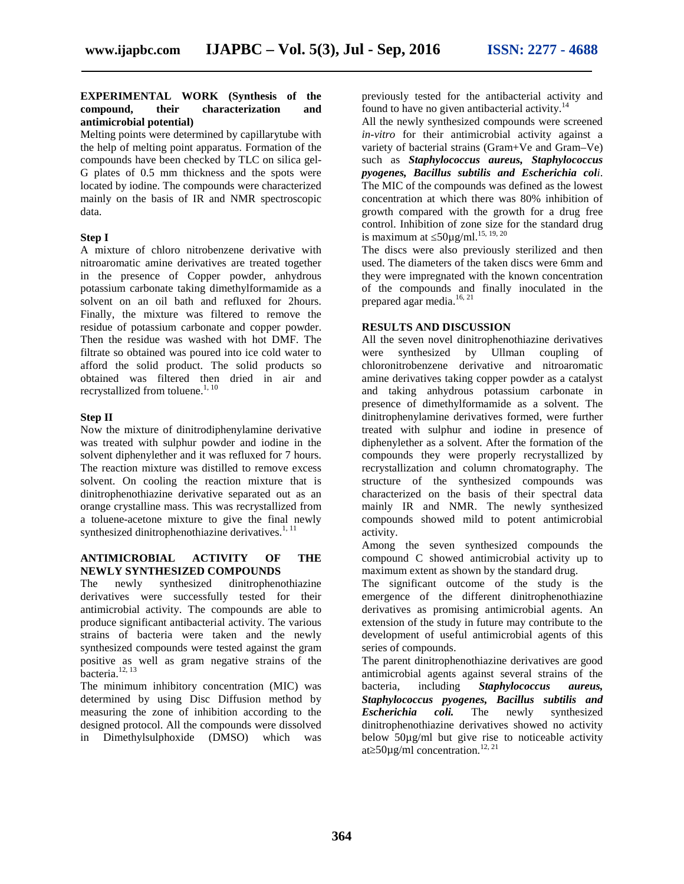#### **EXPERIMENTAL WORK (Synthesis of the compound, their characterization and antimicrobial potential)**

Melting points were determined by capillarytube with the help of melting point apparatus. Formation of the compounds have been checked by TLC on silica gel- G plates of 0.5 mm thickness and the spots were located by iodine. The compounds were characterized mainly on the basis of IR and NMR spectroscopic data.

## **Step I**

A mixture of chloro nitrobenzene derivative with nitroaromatic amine derivatives are treated together in the presence of Copper powder, anhydrous potassium carbonate taking dimethylformamide as a solvent on an oil bath and refluxed for 2hours. Finally, the mixture was filtered to remove the residue of potassium carbonate and copper powder. Then the residue was washed with hot DMF. The filtrate so obtained was poured into ice cold water to afford the solid product. The solid products so obtained was filtered then dried in air and recrystallized from toluene.<sup>1, 10</sup>

## **Step II**

Now the mixture of dinitrodiphenylamine derivative was treated with sulphur powder and iodine in the solvent diphenylether and it was refluxed for 7 hours. The reaction mixture was distilled to remove excess solvent. On cooling the reaction mixture that is dinitrophenothiazine derivative separated out as an orange crystalline mass. This was recrystallized from a toluene-acetone mixture to give the final newly synthesized dinitrophenothiazine derivatives. $1, 11$ 

## **ANTIMICROBIAL ACTIVITY OF THE NEWLY SYNTHESIZED COMPOUNDS**

The newly synthesized dinitrophenothiazine derivatives were successfully tested for their antimicrobial activity. The compounds are able to produce significant antibacterial activity. The various strains of bacteria were taken and the newly synthesized compounds were tested against the gram positive as well as gram negative strains of the bacteria.<sup>12, 13</sup>

The minimum inhibitory concentration (MIC) was determined by using Disc Diffusion method by measuring the zone of inhibition according to the designed protocol. All the compounds were dissolved in Dimethylsulphoxide (DMSO) which was

previously tested for the antibacterial activity and found to have no given antibacterial activity. $^{14}$ 

All the newly synthesized compounds were screened *in-vitro* for their antimicrobial activity against a variety of bacterial strains (Gram+Ve and Gram–Ve) such as *Staphylococcus aureus, Staphylococcus pyogenes, Bacillus subtilis and Escherichia coli*. The MIC of the compounds was defined as the lowest concentration at which there was 80% inhibition of growth compared with the growth for a drug free control. Inhibition of zone size for the standard drug is maximum at  $50\mu$ g/ml.<sup>15, 19, 20</sup>

The discs were also previously sterilized and then used. The diameters of the taken discs were 6mm and they were impregnated with the known concentration of the compounds and finally inoculated in the prepared agar media.<sup>16, 21</sup>

## **RESULTS AND DISCUSSION**

All the seven novel dinitrophenothiazine derivatives synthesized by Ullman coupling of chloronitrobenzene derivative and nitroaromatic amine derivatives taking copper powder as a catalyst and taking anhydrous potassium carbonate in presence of dimethylformamide as a solvent. The dinitrophenylamine derivatives formed, were further treated with sulphur and iodine in presence of diphenylether as a solvent. After the formation of the compounds they were properly recrystallized by recrystallization and column chromatography. The structure of the synthesized compounds was characterized on the basis of their spectral data mainly IR and NMR. The newly synthesized compounds showed mild to potent antimicrobial activity.

Among the seven synthesized compounds the compound C showed antimicrobial activity up to maximum extent as shown by the standard drug.

The significant outcome of the study is the emergence of the different dinitrophenothiazine derivatives as promising antimicrobial agents. An extension of the study in future may contribute to the development of useful antimicrobial agents of this series of compounds.

The parent dinitrophenothiazine derivatives are good antimicrobial agents against several strains of the bacteria, including *Staphylococcus aureus, Staphylococcus pyogenes, Bacillus subtilis and Escherichia coli.* The newly synthesized dinitrophenothiazine derivatives showed no activity below 50µg/ml but give rise to noticeable activity at  $50\mu$ g/ml concentration.<sup>12, 21</sup>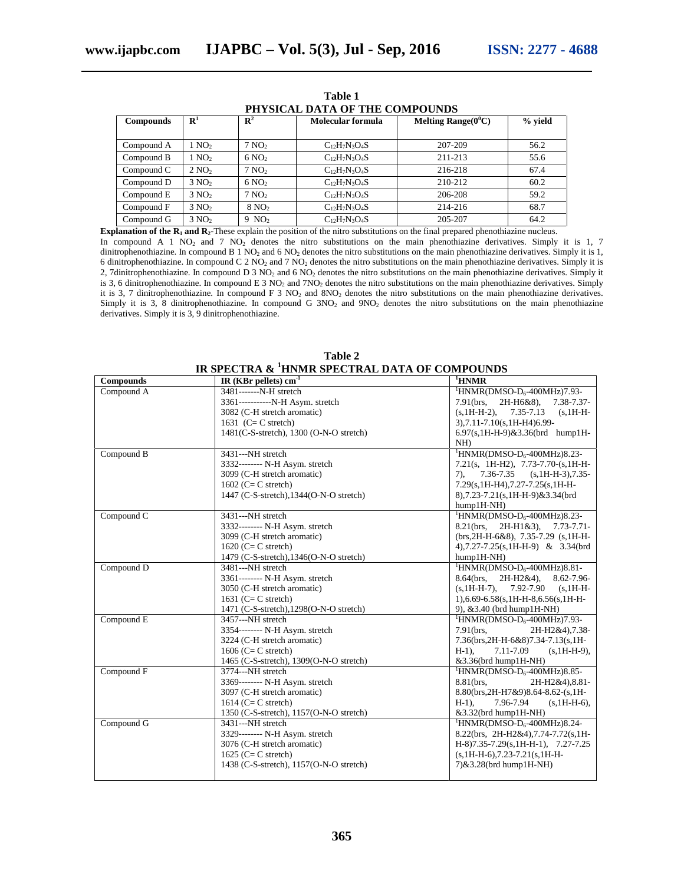| PHYSICAL DATA OF THE COMPOUNDS |                                  |                   |                    |                        |           |  |
|--------------------------------|----------------------------------|-------------------|--------------------|------------------------|-----------|--|
| <b>Compounds</b>               | $\mathbf{R}^1$<br>$\mathbf{R}^2$ |                   | Molecular formula  | Melting Range $(0^0C)$ | $%$ yield |  |
| Compound A                     | 1 NQ <sub>2</sub>                | $7\text{ NO}$     | $C_{12}H_7N_3O_4S$ | 207-209                | 56.2      |  |
| Compound B                     | 1 NQ <sub>2</sub>                | $6\,\text{NO}$    | $C_{12}H_7N_3O_4S$ | 211-213                | 55.6      |  |
| Compound C                     | $2\text{ NO}_2$                  | $7\,\mathrm{NO}$  | $C_{12}H_7N_3O_4S$ | 216-218                | 67.4      |  |
| Compound D                     | $3\text{ NO}$                    | $6\,\text{NO}$    | $C_{12}H_7N_3O_4S$ | 210-212                | 60.2      |  |
| Compound E                     | $3 \text{ NO}$                   | 7 NQ <sub>2</sub> | $C_{12}H_7N_3O_4S$ | 206-208                | 59.2      |  |
| Compound F                     | $3\text{ NO}$                    | 8 NO <sub>2</sub> | $C_{12}H_7N_3O_4S$ | 214-216                | 68.7      |  |
| Compound G                     | $3 \text{ NO}$                   | $9 \text{ NO}_2$  | $C_{12}H_7N_3O_4S$ | 205-207                | 64.2      |  |

**Table 1**

**Explanation of the R<sup>1</sup> and R2-**These explain the position of the nitro substitutions on the final prepared phenothiazine nucleus. In compound A 1 NO<sub>2</sub> and 7 NO<sub>2</sub> denotes the nitro substitutions on the main phenothiazine derivatives. Simply it is 1, 7 dinitrophenothiazine. In compound B 1 NO<sub>2</sub> and 6 NO<sub>2</sub> denotes the nitro substitutions on the main phenothiazine derivatives. Simply it is 1, 6 dinitrophenothiazine. In compound C  $2 \text{ NO}_2$  and  $7 \text{ NO}_2$  denotes the nitro substitutions on the main phenothiazine derivatives. Simply it is 2, 7dinitrophenothiazine. In compound D 3 NO<sub>2</sub> and 6 NO<sub>2</sub> denotes the nitro substitutions on the main phenothiazine derivatives. Simply it is 3, 6 dinitrophenothiazine. In compound E 3 NO<sub>2</sub> and 7NO<sub>2</sub> denotes the nitro substitutions on the main phenothiazine derivatives. Simply it is 3, 7 dinitrophenothiazine. In compound F 3 NO<sub>2</sub> and 8NO<sub>2</sub> denotes the nitro substitutions on the main phenothiazine derivatives. Simply it is 3, 8 dinitrophenothiazine. In compound G  $3NO<sub>2</sub>$  and  $9NO<sub>2</sub>$  denotes the nitro substitutions on the main phenothiazine derivatives. Simply it is 3, 9 dinitrophenothiazine.

| Table 2                                                   |                   |
|-----------------------------------------------------------|-------------------|
| IR SPECTRA & <sup>1</sup> HNMR SPECTRAL DATA OF COMPOUNDS |                   |
| $ID$ (KRr pollote) $cm^{-1}$                              | <sup>1</sup> HNMD |

| <b>Compounds</b> | IR (KBr pellets) $cm^{-1}$               | <sup>1</sup> HNMR                                         |
|------------------|------------------------------------------|-----------------------------------------------------------|
| Compound A       | 3481-------N-H stretch                   | <sup>1</sup> HNMR(DMSO-D <sub>6</sub> -400MHz)7.93-       |
|                  | 3361-----------N-H Asym. stretch         | 7.91(brs,<br>2H-H6&8),<br>$7.38 - 7.37 -$                 |
|                  | 3082 (C-H stretch aromatic)              | 7.35-7.13<br>$(s, 1H-H-2)$ ,<br>$(s, 1H-H-$               |
|                  | 1631 $(C = C$ stretch)                   | 3),7.11-7.10(s,1H-H4)6.99-                                |
|                  | 1481(C-S-stretch), 1300 (O-N-O stretch)  | 6.97(s,1H-H-9)&3.36(brd hump1H-                           |
|                  |                                          | NH                                                        |
| Compound B       | 3431---NH stretch                        | $\text{HNMR}(\text{DMSO-D}_6\text{-}400\text{MHz})8.23$ - |
|                  | 3332-------- N-H Asym. stretch           | $7.21(s, 1H-H2), 7.73-7.70-(s,1H-H-$                      |
|                  | 3099 (C-H stretch aromatic)              | 7.36-7.35<br>$(s, 1H-H-3), 7.35-$<br>7).                  |
|                  | $1602$ (C= C stretch)                    | 7.29(s, 1H-H4), 7.27-7.25(s, 1H-H-                        |
|                  | 1447 (C-S-stretch), 1344 (O-N-O stretch) | 8),7.23-7.21(s,1H-H-9)&3.34(brd                           |
|                  |                                          | $hump1H-NH)$                                              |
| Compound C       | 3431---NH stretch                        | ${}^{1}$ HNMR(DMSO-D <sub>6</sub> -400MHz)8.23-           |
|                  | 3332-------- N-H Asym. stretch           | 8.21(brs.<br>2H-H1&3), 7.73-7.71-                         |
|                  | 3099 (C-H stretch aromatic)              | $(brs, 2H-H-6&8), 7.35-7.29$ $(s, 1H-H-$                  |
|                  | $1620$ (C= C stretch)                    | 4),7.27-7.25(s,1H-H-9) & 3.34(brd                         |
|                  | 1479 (C-S-stretch), 1346 (O-N-O stretch) | hump1H-NH)                                                |
| Compound D       | 3481---NH stretch                        | ${}^{1}$ HNMR(DMSO-D <sub>6</sub> -400MHz)8.81-           |
|                  | 3361-------- N-H Asym. stretch           | 8.64(brs, 2H-H2&4), 8.62-7.96-                            |
|                  | 3050 (C-H stretch aromatic)              | $(s, 1H-H-7),$ 7.92-7.90<br>$(s, 1H-H-$                   |
|                  | 1631 ( $C = C$ stretch)                  | $1$ , 6.69-6.58(s, 1H-H-8, 6.56(s, 1H-H-                  |
|                  | 1471 (C-S-stretch), 1298 (O-N-O stretch) | 9), $&3.40$ (brd hump1H-NH)                               |
| Compound E       | 3457---NH stretch                        | <sup>1</sup> HNMR(DMSO-D <sub>6</sub> -400MHz)7.93-       |
|                  | 3354-------- N-H Asym. stretch           | $7.91$ (brs.<br>2H-H2&4), 7.38-                           |
|                  | 3224 (C-H stretch aromatic)              | 7.36(brs, 2H-H-6&8) 7.34-7.13(s, 1H-                      |
|                  | $1606$ (C= C stretch)                    | $H-1$ ),<br>7.11-7.09<br>$(s, 1H-H-9),$                   |
|                  | 1465 (C-S-stretch), 1309(O-N-O stretch)  | &3.36(brd hump1H-NH)                                      |
| Compound F       | 3774---NH stretch                        | <sup>1</sup> HNMR(DMSO-D <sub>6</sub> -400MHz)8.85-       |
|                  | 3369-------- N-H Asym. stretch           | 8.81(brs.<br>2H-H2&4),8.81-                               |
|                  | 3097 (C-H stretch aromatic)              | 8.80(brs, 2H-H7&9)8.64-8.62-(s, 1H-                       |
|                  | 1614 ( $C = C$ stretch)                  | $H-1$ ),<br>7.96-7.94<br>$(s, 1H-H-6),$                   |
|                  | 1350 (C-S-stretch), 1157 (O-N-O stretch) | &3.32(brd hump1H-NH)                                      |
| Compound G       | 3431---NH stretch                        | <sup>1</sup> HNMR(DMSO-D <sub>6</sub> -400MHz)8.24-       |
|                  | 3329-------- N-H Asym. stretch           | 8.22(brs, 2H-H2&4), 7.74-7.72(s, 1H-                      |
|                  | 3076 (C-H stretch aromatic)              | $H-8$ )7.35-7.29(s, 1H-H-1), 7.27-7.25                    |
|                  | $1625$ (C= C stretch)                    | $(s, 1H-H-6), 7.23-7.21(s, 1H-H-$                         |
|                  |                                          |                                                           |
|                  | 1438 (C-S-stretch), 1157(O-N-O stretch)  | 7) & 3.28 (brd hump1H-NH)                                 |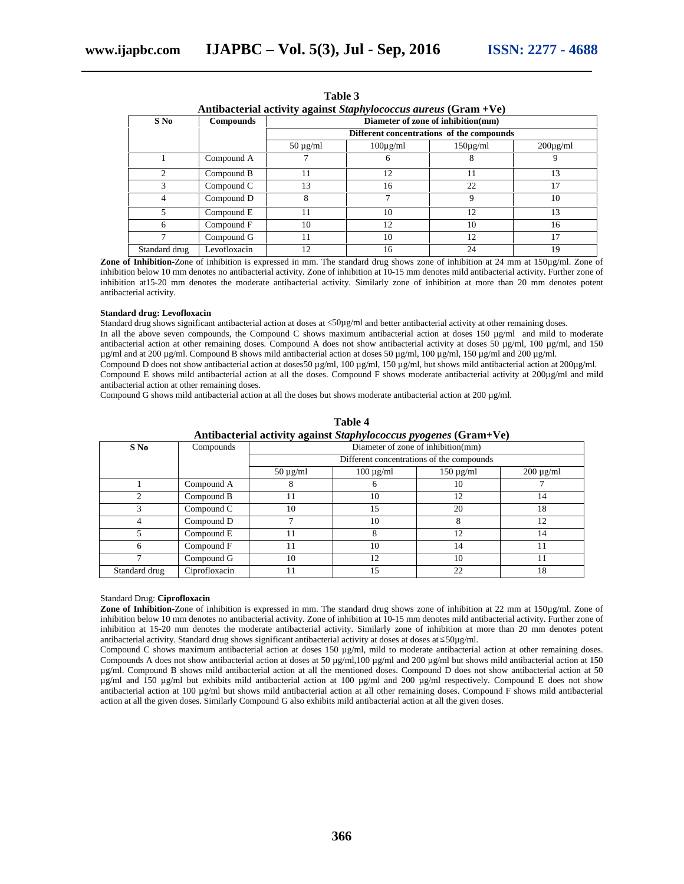| Antibacterial activity against Staphylococcus aureus (Gram +Ve) |                  |                                                                                 |               |               |               |  |
|-----------------------------------------------------------------|------------------|---------------------------------------------------------------------------------|---------------|---------------|---------------|--|
| $S$ No                                                          | <b>Compounds</b> | Diameter of zone of inhibition(mm)<br>Different concentrations of the compounds |               |               |               |  |
|                                                                 |                  |                                                                                 |               |               |               |  |
|                                                                 |                  | $50 \mu g/ml$                                                                   | $100\mu$ g/ml | $150\mu$ g/ml | $200\mu$ g/ml |  |
|                                                                 | Compound A       |                                                                                 | 6             |               | 9             |  |
| $\mathfrak{D}_{\mathfrak{p}}$                                   | Compound B       | 11                                                                              | 12            |               | 13            |  |
| 3                                                               | Compound C       | 13                                                                              | 16            | 22            | 17            |  |
| 4                                                               | Compound D       | 8                                                                               | 7             | 9             | 10            |  |
| 5                                                               | Compound E       | 11                                                                              | 10            | 12            | 13            |  |
| 6                                                               | Compound F       | 10                                                                              | 12            | 10            | 16            |  |
|                                                                 | Compound G       | 11                                                                              | 10            | 12            | 17            |  |
| Standard drug                                                   | Levofloxacin     | 12                                                                              | 16            | 24            | 19            |  |

**Table 3**

**Zone of Inhibition-**Zone of inhibition is expressed in mm. The standard drug shows zone of inhibition at 24 mm at 150µg/ml. Zone of inhibition below 10 mm denotes no antibacterial activity. Zone of inhibition at 10-15 mm denotes mild antibacterial activity. Further zone of inhibition at15-20 mm denotes the moderate antibacterial activity. Similarly zone of inhibition at more than 20 mm denotes potent antibacterial activity.

#### **Standard drug: Levofloxacin**

Standard drug shows significant antibacterial action at doses at 50µg/ml and better antibacterial activity at other remaining doses.

In all the above seven compounds, the Compound C shows maximum antibacterial action at doses 150  $\mu\text{g/ml}$  and mild to moderate antibacterial action at other remaining doses. Compound A does not show antibacterial activity at doses 50  $\mu$ g/ml, 100  $\mu$ g/ml, and 150 µg/ml and at 200 µg/ml. Compound B shows mild antibacterial action at doses 50 µg/ml, 100 µg/ml, 150 µg/ml and 200 µg/ml. Compound D does not show antibacterial action at doses 50  $\mu$ g/ml, 100  $\mu$ g/ml, 150  $\mu$ g/ml, but shows mild antibacterial action at 200 $\mu$ g/ml. Compound E shows mild antibacterial action at all the doses. Compound F shows moderate antibacterial activity at 200µg/ml and mild

antibacterial action at other remaining doses. Compound G shows mild antibacterial action at all the doses but shows moderate antibacterial action at  $200 \mu g/ml$ .

| Antibacterial activity against Staphylococcus pyogenes (Gram+Ve) |               |                                           |                |                |                |  |
|------------------------------------------------------------------|---------------|-------------------------------------------|----------------|----------------|----------------|--|
| $S$ No                                                           | Compounds     | Diameter of zone of inhibition(mm)        |                |                |                |  |
|                                                                  |               | Different concentrations of the compounds |                |                |                |  |
|                                                                  |               | $50 \mu g/ml$                             | $100 \mu g/ml$ | $150 \mu g/ml$ | $200 \mu g/ml$ |  |
|                                                                  | Compound A    |                                           | O              | 10             |                |  |
| C                                                                | Compound B    |                                           | 10             | 12             | 14             |  |
| 3                                                                | Compound C    | 10                                        | 15             | 20             | 18             |  |
|                                                                  | Compound D    |                                           | 10             | 8              | 12             |  |
|                                                                  | Compound E    | 11                                        | 8              | 12             | 14             |  |
| 6                                                                | Compound F    | 11                                        | 10             | 14             | 11             |  |
|                                                                  | Compound G    | 10                                        | 12             | 10             | 11             |  |
| Standard drug                                                    | Ciprofloxacin |                                           | 15             | 22             | 18             |  |

**Table 4**

#### Standard Drug: **Ciprofloxacin**

**Zone of Inhibition-**Zone of inhibition is expressed in mm. The standard drug shows zone of inhibition at 22 mm at 150µg/ml. Zone of inhibition below 10 mm denotes no antibacterial activity. Zone of inhibition at 10-15 mm denotes mild antibacterial activity. Further zone of inhibition at 15-20 mm denotes the moderate antibacterial activity. Similarly zone of inhibition at more than 20 mm denotes potent antibacterial activity. Standard drug shows significant antibacterial activity at doses at doses at 50µg/ml.

Compound C shows maximum antibacterial action at doses 150 µg/ml, mild to moderate antibacterial action at other remaining doses. Compounds A does not show antibacterial action at doses at 50  $\mu$ g/ml,100  $\mu$ g/ml and 200  $\mu$ g/ml but shows mild antibacterial action at 150 µg/ml. Compound B shows mild antibacterial action at all the mentioned doses. Compound D does not show antibacterial action at 50 µg/ml and 150 µg/ml but exhibits mild antibacterial action at 100 µg/ml and 200 µg/ml respectively. Compound E does not show antibacterial action at 100 µg/ml but shows mild antibacterial action at all other remaining doses. Compound F shows mild antibacterial action at all the given doses. Similarly Compound G also exhibits mild antibacterial action at all the given doses.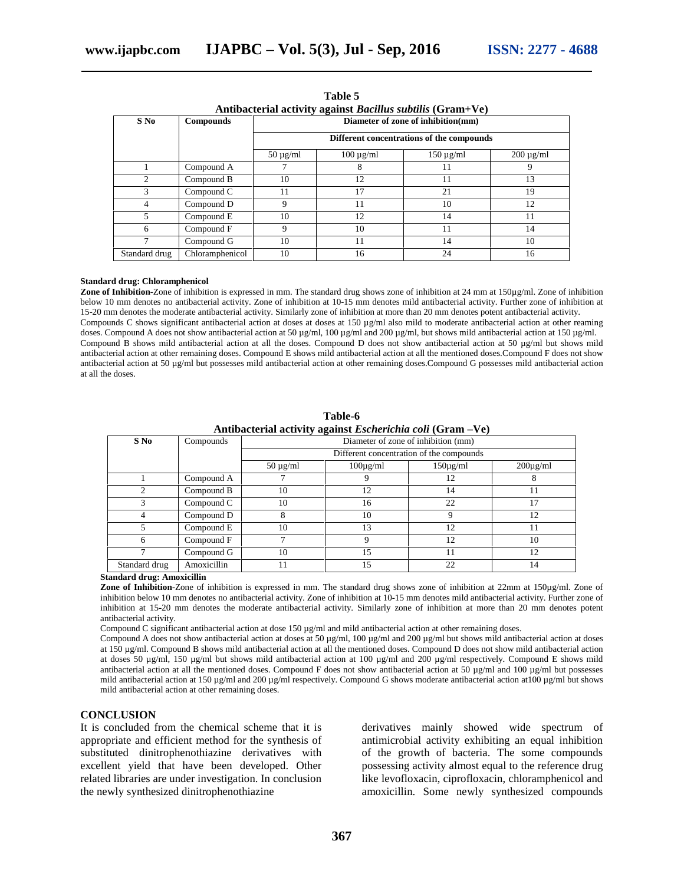| Antibacterial activity against <i>Ductions subtiti</i> s (Grain+ve)<br>$S$ No<br>Diameter of zone of inhibition(mm) |                 |                                           |                |                |                |  |  |  |
|---------------------------------------------------------------------------------------------------------------------|-----------------|-------------------------------------------|----------------|----------------|----------------|--|--|--|
| <b>Compounds</b>                                                                                                    |                 | Different concentrations of the compounds |                |                |                |  |  |  |
|                                                                                                                     |                 | $50 \mu g/ml$                             | $100 \mu g/ml$ | $150 \mu g/ml$ | $200 \mu g/ml$ |  |  |  |
|                                                                                                                     | Compound A      |                                           | 8              | 11             |                |  |  |  |
|                                                                                                                     | Compound B      | 10                                        | 12             | 11             | 13             |  |  |  |
|                                                                                                                     | Compound C      | 11                                        | 17             | 21             | 19             |  |  |  |
|                                                                                                                     | Compound D      | 9                                         | 11             | 10             | 12             |  |  |  |
| 5                                                                                                                   | Compound E      | 10                                        | 12             | 14             | 11             |  |  |  |
| 6                                                                                                                   | Compound F      | 9                                         | 10             | 11             | 14             |  |  |  |
|                                                                                                                     | Compound G      | 10                                        | 11             | 14             | 10             |  |  |  |
| Standard drug                                                                                                       | Chloramphenicol | 10                                        | 16             | 24             | 16             |  |  |  |

**Table 5 Antibacterial activity against** *Bacillus subtilis* **(Gram+Ve)**

#### **Standard drug: Chloramphenicol**

**Zone of Inhibition-**Zone of inhibition is expressed in mm. The standard drug shows zone of inhibition at 24 mm at 150µg/ml. Zone of inhibition below 10 mm denotes no antibacterial activity. Zone of inhibition at 10-15 mm denotes mild antibacterial activity. Further zone of inhibition at 15-20 mm denotes the moderate antibacterial activity. Similarly zone of inhibition at more than 20 mm denotes potent antibacterial activity. Compounds C shows significant antibacterial action at doses at doses at 150 µg/ml also mild to moderate antibacterial action at other reaming doses. Compound A does not show antibacterial action at 50 µg/ml, 100 µg/ml and 200 µg/ml, but shows mild antibacterial action at 150 µg/ml. Compound B shows mild antibacterial action at all the doses. Compound D does not show antibacterial action at 50 µg/ml but shows mild antibacterial action at other remaining doses. Compound E shows mild antibacterial action at all the mentioned doses.Compound F does not show antibacterial action at 50 µg/ml but possesses mild antibacterial action at other remaining doses.Compound G possesses mild antibacterial action at all the doses.

|               | Anubacterial activity against <i>Escherichia con</i> (Grain – ve) |                                     |               |                |                |  |  |  |
|---------------|-------------------------------------------------------------------|-------------------------------------|---------------|----------------|----------------|--|--|--|
| $S$ No        | Compounds                                                         | Diameter of zone of inhibition (mm) |               |                |                |  |  |  |
|               |                                                                   |                                     |               |                |                |  |  |  |
|               |                                                                   | $50 \mu g/ml$                       | $100\mu$ g/ml | $150 \mu g/ml$ | $200 \mu g/ml$ |  |  |  |
|               | Compound A                                                        |                                     |               | 12             | 8              |  |  |  |
|               | Compound B                                                        | 10                                  | 12            | 14             | 11             |  |  |  |
|               | Compound C                                                        | 10                                  | 16            | 22             | 17             |  |  |  |
|               | Compound D                                                        | 8                                   | 10            | 9              | 12             |  |  |  |
|               | Compound E                                                        | 10                                  | 13            | 12             | 11             |  |  |  |
| 6             | Compound F                                                        |                                     | 9             | 12             | 10             |  |  |  |
|               | Compound G                                                        | 10                                  | 15            | 11             | 12             |  |  |  |
| Standard drug | Amoxicillin                                                       | 11                                  | 15            | 22             | 14             |  |  |  |

**Table-6 Antibacterial activity against** *Escherichia coli* **(Gram –Ve)**

#### **Standard drug: Amoxicillin**

**Zone of Inhibition-**Zone of inhibition is expressed in mm. The standard drug shows zone of inhibition at 22mm at 150µg/ml. Zone of inhibition below 10 mm denotes no antibacterial activity. Zone of inhibition at 10-15 mm denotes mild antibacterial activity. Further zone of inhibition at 15-20 mm denotes the moderate antibacterial activity. Similarly zone of inhibition at more than 20 mm denotes potent antibacterial activity.

Compound C significant antibacterial action at dose 150  $\mu$ g/ml and mild antibacterial action at other remaining doses.

Compound A does not show antibacterial action at doses at 50  $\mu$ g/ml, 100  $\mu$ g/ml and 200  $\mu$ g/ml but shows mild antibacterial action at doses at 150 µg/ml. Compound B shows mild antibacterial action at all the mentioned doses. Compound D does not show mild antibacterial action at doses 50  $\mu$ g/ml, 150  $\mu$ g/ml but shows mild antibacterial action at 100  $\mu$ g/ml and 200  $\mu$ g/ml respectively. Compound E shows mild antibacterial action at all the mentioned doses. Compound F does not show antibacterial action at 50  $\mu$ g/ml and 100  $\mu$ g/ml but possesses mild antibacterial action at 150  $\mu$ g/ml and 200  $\mu$ g/ml respectively. Compound G shows moderate antibacterial action at 100  $\mu$ g/ml but shows mild antibacterial action at other remaining doses.

#### **CONCLUSION**

It is concluded from the chemical scheme that it is appropriate and efficient method for the synthesis of substituted dinitrophenothiazine derivatives with excellent yield that have been developed. Other related libraries are under investigation. In conclusion the newly synthesized dinitrophenothiazine

derivatives mainly showed wide spectrum of antimicrobial activity exhibiting an equal inhibition of the growth of bacteria. The some compounds possessing activity almost equal to the reference drug like levofloxacin, ciprofloxacin, chloramphenicol and amoxicillin. Some newly synthesized compounds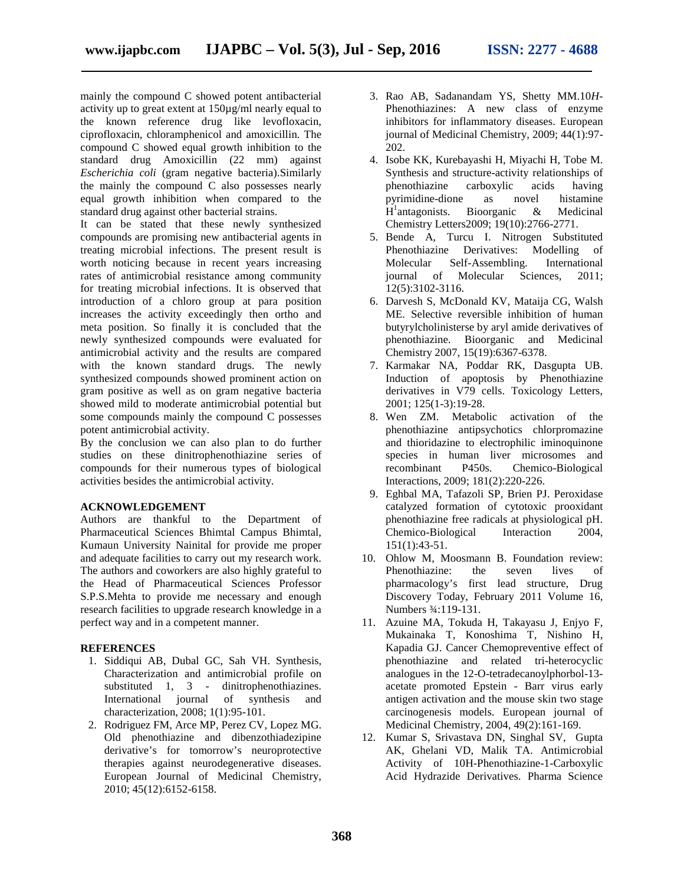mainly the compound C showed potent antibacterial activity up to great extent at 150µg/ml nearly equal to the known reference drug like levofloxacin, ciprofloxacin, chloramphenicol and amoxicillin. The compound C showed equal growth inhibition to the standard drug Amoxicillin (22 mm) against *Escherichia coli* (gram negative bacteria).Similarly the mainly the compound C also possesses nearly equal growth inhibition when compared to the standard drug against other bacterial strains.

It can be stated that these newly synthesized compounds are promising new antibacterial agents in treating microbial infections. The present result is worth noticing because in recent years increasing rates of antimicrobial resistance among community for treating microbial infections. It is observed that introduction of a chloro group at para position increases the activity exceedingly then ortho and meta position. So finally it is concluded that the newly synthesized compounds were evaluated for antimicrobial activity and the results are compared with the known standard drugs. The newly synthesized compounds showed prominent action on gram positive as well as on gram negative bacteria showed mild to moderate antimicrobial potential but some compounds mainly the compound C possesses potent antimicrobial activity.

By the conclusion we can also plan to do further studies on these dinitrophenothiazine series of compounds for their numerous types of biological activities besides the antimicrobial activity.

#### **ACKNOWLEDGEMENT**

Authors are thankful to the Department of Pharmaceutical Sciences Bhimtal Campus Bhimtal, Kumaun University Nainital for provide me proper and adequate facilities to carry out my research work. The authors and coworkers are also highly grateful to the Head of Pharmaceutical Sciences Professor S.P.S.Mehta to provide me necessary and enough research facilities to upgrade research knowledge in a perfect way and in a competent manner.

#### **REFERENCES**

- 1. Siddiqui AB, Dubal GC, Sah VH. Synthesis, Characterization and antimicrobial profile on substituted 1, 3 - dinitrophenothiazines. International journal of synthesis and characterization, 2008; 1(1):95-101.
- 2. Rodriguez FM, Arce MP, Perez CV, Lopez MG. Old phenothiazine and dibenzothiadezipine derivative's for tomorrow's neuroprotective therapies against neurodegenerative diseases. European Journal of Medicinal Chemistry, 2010; 45(12):6152-6158.
- 3. Rao AB, Sadanandam YS, Shetty MM.10*H* Phenothiazines: A new class of enzyme inhibitors for inflammatory diseases. European journal of Medicinal Chemistry, 2009; 44(1):97- 202.
- 4. Isobe KK, Kurebayashi H, Miyachi H, Tobe M. Synthesis and structure-activity relationships of phenothiazine carboxylic acids having pyrimidine-dione as novel histamine H <sup>1</sup>antagonists. Bioorganic & Medicinal Chemistry Letters2009; 19(10):2766-2771.
- 5. Bende A, Turcu I. Nitrogen Substituted Phenothiazine Derivatives: Modelling of Molecular Self-Assembling. International journal of Molecular Sciences, 2011; 12(5):3102-3116.
- 6. Darvesh S, McDonald KV, Mataija CG, Walsh ME. Selective reversible inhibition of human butyrylcholinisterse by aryl amide derivatives of phenothiazine. Bioorganic and Medicinal Chemistry 2007, 15(19):6367-6378.
- 7. Karmakar NA, Poddar RK, Dasgupta UB. Induction of apoptosis by Phenothiazine derivatives in V79 cells. Toxicology Letters, 2001; 125(1-3):19-28.
- 8. Wen ZM. Metabolic activation of the phenothiazine antipsychotics chlorpromazine and thioridazine to electrophilic iminoquinone species in human liver microsomes and recombinant P450s. Chemico-Biological Interactions, 2009; 181(2):220-226.
- 9. Eghbal MA, Tafazoli SP, Brien PJ. Peroxidase catalyzed formation of cytotoxic prooxidant phenothiazine free radicals at physiological pH. Chemico-Biological Interaction 2004, 151(1):43-51.
- 10. Ohlow M, Moosmann B. Foundation review: Phenothiazine: the seven lives of pharmacology's first lead structure, Drug Discovery Today, February 2011 Volume 16, Numbers ¾:119-131.
- 11. Azuine MA, Tokuda H, Takayasu J, Enjyo F, Mukainaka T, Konoshima T, Nishino H, Kapadia GJ. Cancer Chemopreventive effect of phenothiazine and related tri-heterocyclic analogues in the 12-O-tetradecanoylphorbol-13 acetate promoted Epstein - Barr virus early antigen activation and the mouse skin two stage carcinogenesis models. European journal of Medicinal Chemistry, 2004, 49(2):161-169.
- 12. Kumar S, Srivastava DN, Singhal SV, Gupta AK, Ghelani VD, Malik TA. Antimicrobial Activity of 10H-Phenothiazine-1-Carboxylic Acid Hydrazide Derivatives. Pharma Science